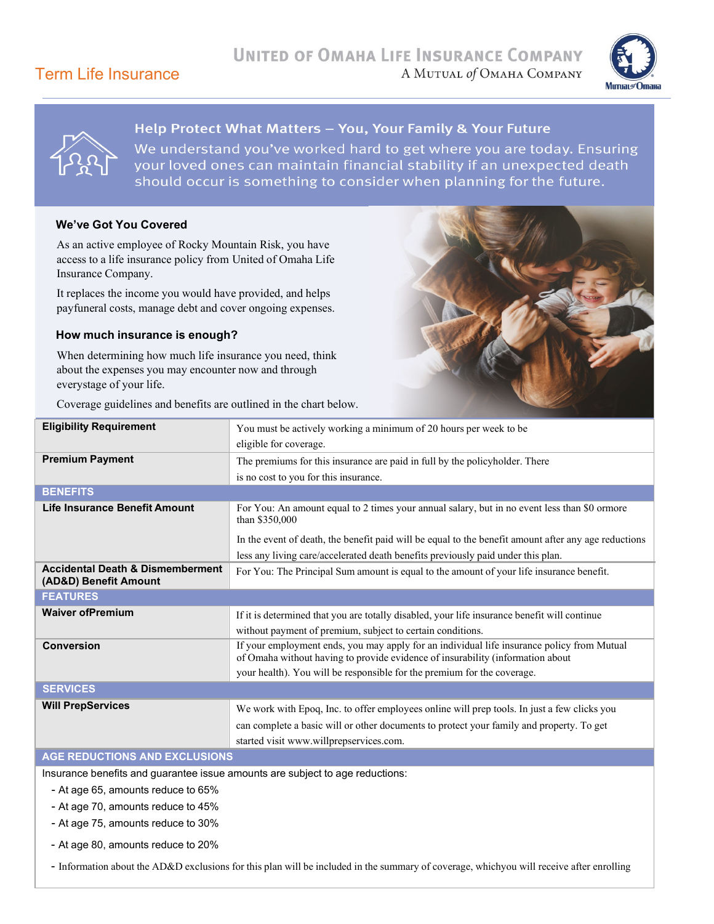#### Term Life Insurance



#### Help Protect What Matters - You, Your Family & Your Future

We understand you've worked hard to get where you are today. Ensuring your loved ones can maintain financial stability if an unexpected death should occur is something to consider when planning for the future.

#### **We've Got You Covered**

As an active employee of Rocky Mountain Risk, you have access to a life insurance policy from United of Omaha Life Insurance Company.

It replaces the income you would have provided, and helps payfuneral costs, manage debt and cover ongoing expenses.

#### **How much insurance is enough?**

When determining how much life insurance you need, think about the expenses you may encounter now and through everystage of your life.

Coverage guidelines and benefits are outlined in the chart below.



| <b>Eligibility Requirement</b>                                       | You must be actively working a minimum of 20 hours per week to be                                                                                                            |
|----------------------------------------------------------------------|------------------------------------------------------------------------------------------------------------------------------------------------------------------------------|
|                                                                      | eligible for coverage.                                                                                                                                                       |
| <b>Premium Payment</b>                                               |                                                                                                                                                                              |
|                                                                      | The premiums for this insurance are paid in full by the policyholder. There                                                                                                  |
|                                                                      | is no cost to you for this insurance.                                                                                                                                        |
| <b>BENEFITS</b>                                                      |                                                                                                                                                                              |
| Life Insurance Benefit Amount                                        | For You: An amount equal to 2 times your annual salary, but in no event less than \$0 ormore<br>than \$350,000                                                               |
|                                                                      | In the event of death, the benefit paid will be equal to the benefit amount after any age reductions                                                                         |
|                                                                      | less any living care/accelerated death benefits previously paid under this plan.                                                                                             |
| <b>Accidental Death &amp; Dismemberment</b><br>(AD&D) Benefit Amount | For You: The Principal Sum amount is equal to the amount of your life insurance benefit.                                                                                     |
| <b>FEATURES</b>                                                      |                                                                                                                                                                              |
| <b>Waiver of Premium</b>                                             | If it is determined that you are totally disabled, your life insurance benefit will continue                                                                                 |
|                                                                      | without payment of premium, subject to certain conditions.                                                                                                                   |
| <b>Conversion</b>                                                    | If your employment ends, you may apply for an individual life insurance policy from Mutual<br>of Omaha without having to provide evidence of insurability (information about |
|                                                                      | your health). You will be responsible for the premium for the coverage.                                                                                                      |
| <b>SERVICES</b>                                                      |                                                                                                                                                                              |
| <b>Will PrepServices</b>                                             | We work with Epoq, Inc. to offer employees online will prep tools. In just a few clicks you                                                                                  |
|                                                                      | can complete a basic will or other documents to protect your family and property. To get                                                                                     |
|                                                                      | started visit www.willprepservices.com.                                                                                                                                      |
| <b>AGE REDUCTIONS AND EXCLUSIONS</b>                                 |                                                                                                                                                                              |

Insurance benefits and guarantee issue amounts are subject to age reductions:

- At age 65, amounts reduce to 65%
- At age 70, amounts reduce to 45%
- At age 75, amounts reduce to 30%
- At age 80, amounts reduce to 20%

- Information about the AD&D exclusions for this plan will be included in the summary of coverage, whichyou will receive after enrolling